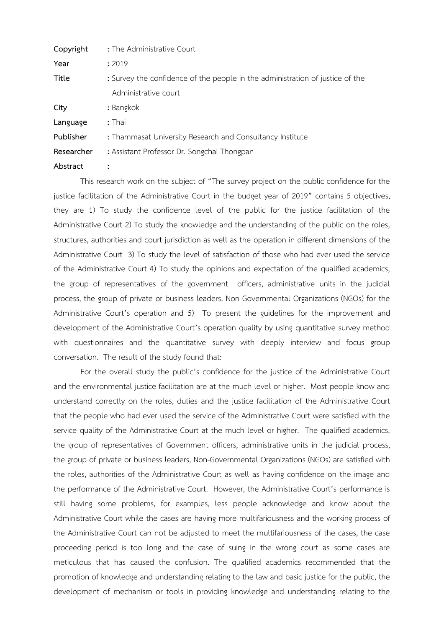| Copyright  | : The Administrative Court                                                    |
|------------|-------------------------------------------------------------------------------|
| Year       | : 2019                                                                        |
| Title      | : Survey the confidence of the people in the administration of justice of the |
|            | Administrative court                                                          |
| City       | : Bangkok                                                                     |
| Language   | $:$ Thai                                                                      |
| Publisher  | : Thammasat University Research and Consultancy Institute                     |
| Researcher | : Assistant Professor Dr. Songchai Thongpan                                   |
| Abstract   |                                                                               |

This research work on the subject of "The survey project on the public confidence for the justice facilitation of the Administrative Court in the budget year of 2019" contains 5 objectives, they are 1) To study the confidence level of the public for the justice facilitation of the Administrative Court 2) To study the knowledge and the understanding of the public on the roles, structures, authorities and court jurisdiction as well as the operation in different dimensions of the Administrative Court 3) To study the level of satisfaction of those who had ever used the service of the Administrative Court 4) To study the opinions and expectation of the qualified academics, the group of representatives of the government officers, administrative units in the judicial process, the group of private or business leaders, Non Governmental Organizations (NGOs) for the Administrative Court's operation and 5) To present the guidelines for the improvement and development of the Administrative Court's operation quality by using quantitative survey method with questionnaires and the quantitative survey with deeply interview and focus group conversation. The result of the study found that:

For the overall study the public's confidence for the justice of the Administrative Court and the environmental justice facilitation are at the much level or higher. Most people know and understand correctly on the roles, duties and the justice facilitation of the Administrative Court that the people who had ever used the service of the Administrative Court were satisfied with the service quality of the Administrative Court at the much level or higher. The qualified academics, the group of representatives of Government officers, administrative units in the judicial process, the group of private or business leaders, Non-Governmental Organizations (NGOs) are satisfied with the roles, authorities of the Administrative Court as well as having confidence on the image and the performance of the Administrative Court. However, the Administrative Court's performance is still having some problems, for examples, less people acknowledge and know about the Administrative Court while the cases are having more multifariousness and the working process of the Administrative Court can not be adjusted to meet the multifariousness of the cases, the case proceeding period is too long and the case of suing in the wrong court as some cases are meticulous that has caused the confusion. The qualified academics recommended that the promotion of knowledge and understanding relating to the law and basic justice for the public, the development of mechanism or tools in providing knowledge and understanding relating to the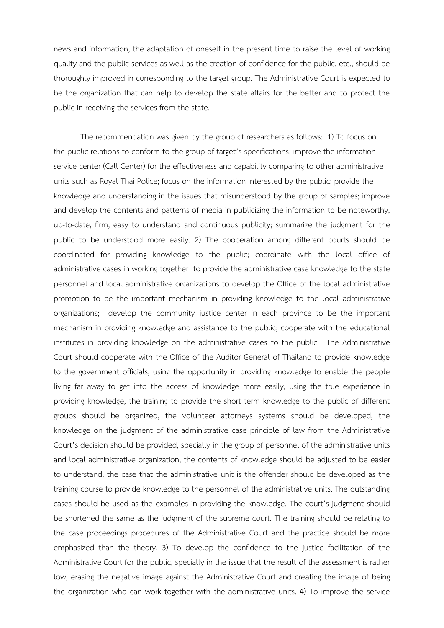news and information, the adaptation of oneself in the present time to raise the level of working quality and the public services as well as the creation of confidence for the public, etc., should be thoroughly improved in corresponding to the target group. The Administrative Court is expected to be the organization that can help to develop the state affairs for the better and to protect the public in receiving the services from the state.

The recommendation was given by the group of researchers as follows: 1) To focus on the public relations to conform to the group of target's specifications; improve the information service center (Call Center) for the effectiveness and capability comparing to other administrative units such as Royal Thai Police; focus on the information interested by the public; provide the knowledge and understanding in the issues that misunderstood by the group of samples; improve and develop the contents and patterns of media in publicizing the information to be noteworthy, up-to-date, firm, easy to understand and continuous publicity; summarize the judgment for the public to be understood more easily. 2) The cooperation among different courts should be coordinated for providing knowledge to the public; coordinate with the local office of administrative cases in working together to provide the administrative case knowledge to the state personnel and local administrative organizations to develop the Office of the local administrative promotion to be the important mechanism in providing knowledge to the local administrative organizations; develop the community justice center in each province to be the important mechanism in providing knowledge and assistance to the public; cooperate with the educational institutes in providing knowledge on the administrative cases to the public. The Administrative Court should cooperate with the Office of the Auditor General of Thailand to provide knowledge to the government officials, using the opportunity in providing knowledge to enable the people living far away to get into the access of knowledge more easily, using the true experience in providing knowledge, the training to provide the short term knowledge to the public of different groups should be organized, the volunteer attorneys systems should be developed, the knowledge on the judgment of the administrative case principle of law from the Administrative Court's decision should be provided, specially in the group of personnel of the administrative units and local administrative organization, the contents of knowledge should be adjusted to be easier to understand, the case that the administrative unit is the offender should be developed as the training course to provide knowledge to the personnel of the administrative units. The outstanding cases should be used as the examples in providing the knowledge. The court's judgment should be shortened the same as the judgment of the supreme court. The training should be relating to the case proceedings procedures of the Administrative Court and the practice should be more emphasized than the theory. 3) To develop the confidence to the justice facilitation of the Administrative Court for the public, specially in the issue that the result of the assessment is rather low, erasing the negative image against the Administrative Court and creating the image of being the organization who can work together with the administrative units. 4) To improve the service